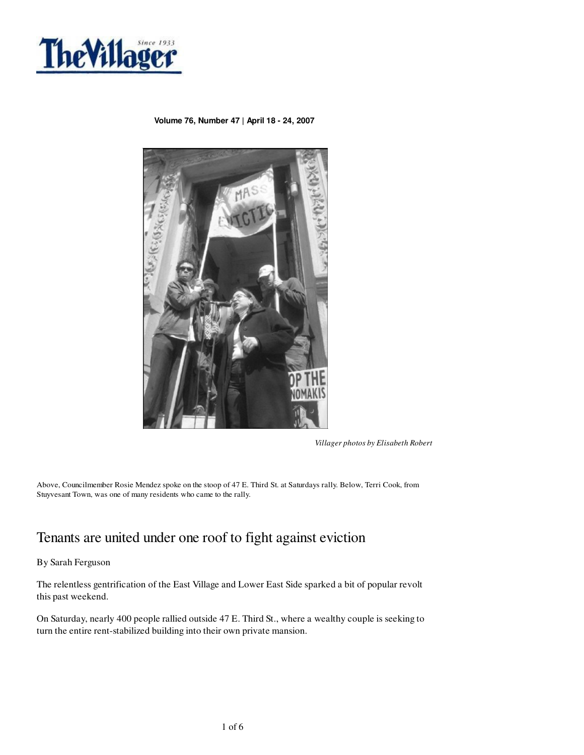

**Volume 76, Number 47 | April 18 - 24, 2007**



*Villager photos by Elisabeth Robert*

Above, Councilmember Rosie Mendez spoke on the stoop of 47 E. Third St. at Saturdays rally. Below, Terri Cook, from Stuyvesant Town, was one of many residents who came to the rally.

# Tenants are united under one roof to fight against eviction

#### By Sarah Ferguson

The relentless gentrification of the East Village and Lower East Side sparked a bit of popular revolt this past weekend.

On Saturday, nearly 400 people rallied outside 47 E. Third St., where a wealthy couple is seeking to turn the entire rent-stabilized building into their own private mansion.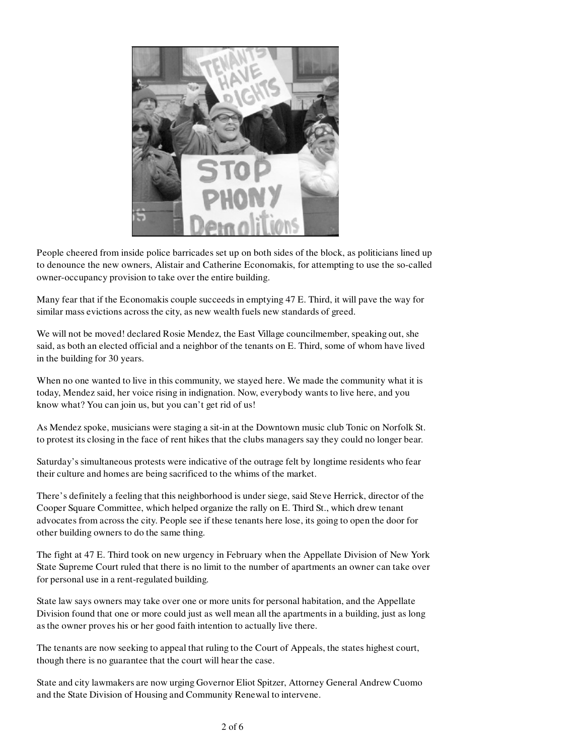

People cheered from inside police barricades set up on both sides of the block, as politicians lined up to denounce the new owners, Alistair and Catherine Economakis, for attempting to use the so-called owner-occupancy provision to take over the entire building.

Many fear that if the Economakis couple succeeds in emptying 47 E. Third, it will pave the way for similar mass evictions across the city, as new wealth fuels new standards of greed.

We will not be moved! declared Rosie Mendez, the East Village councilmember, speaking out, she said, as both an elected official and a neighbor of the tenants on E. Third, some of whom have lived in the building for 30 years.

When no one wanted to live in this community, we stayed here. We made the community what it is today, Mendez said, her voice rising in indignation. Now, everybody wants to live here, and you know what? You can join us, but you can't get rid of us!

As Mendez spoke, musicians were staging a sit-in at the Downtown music club Tonic on Norfolk St. to protest its closing in the face of rent hikes that the clubs managers say they could no longer bear.

Saturday's simultaneous protests were indicative of the outrage felt by longtime residents who fear their culture and homes are being sacrificed to the whims of the market.

There's definitely a feeling that this neighborhood is under siege, said Steve Herrick, director of the Cooper Square Committee, which helped organize the rally on E. Third St., which drew tenant advocates from across the city. People see if these tenants here lose, its going to open the door for other building owners to do the same thing.

The fight at 47 E. Third took on new urgency in February when the Appellate Division of New York State Supreme Court ruled that there is no limit to the number of apartments an owner can take over for personal use in a rent-regulated building.

State law says owners may take over one or more units for personal habitation, and the Appellate Division found that one or more could just as well mean all the apartments in a building, just as long as the owner proves his or her good faith intention to actually live there.

The tenants are now seeking to appeal that ruling to the Court of Appeals, the states highest court, though there is no guarantee that the court will hear the case.

State and city lawmakers are now urging Governor Eliot Spitzer, Attorney General Andrew Cuomo and the State Division of Housing and Community Renewal to intervene.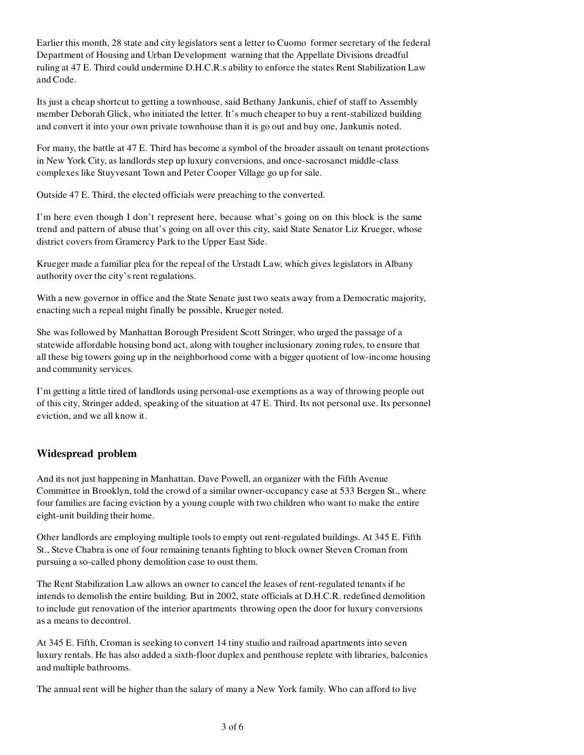Earlier this month, 28 state and city legislators sent a letter to Cuomo former secretary of the federal Department of Housing and Urban Development warning that the Appellate Divisions dreadful ruling at 47 E. Third could undermine D.H.C.R.s ability to enforce the states Rent Stabilization Law and Code.

Its just a cheap shortcut to getting a townhouse, said Bethany Jankunis, chief of staff to Assembly member Deborah Glick, who initiated the letter. It's much cheaper to buy a rent-stabilized building and convert it into your own private townhouse than it is go out and buy one, Jankunis noted.

For many, the battle at 47 E. Third has become a symbol of the broader assault on tenant protections in New York City, as landlords step up luxury conversions, and once-sacrosanct middle-class complexes like Stuyvesant Town and Peter Cooper Village go up for sale.

Outside 47 E. Third, the elected officials were preaching to the converted.

I'm here even though I don't represent here, because what's going on on this block is the same trend and pattern of abuse that's going on all over this city, said State Senator Liz Krueger, whose district covers from Gramercy Park to the Upper East Side.

Krueger made a familiar plea for the repeal of the Urstadt Law, which gives legislators in Albany authority over the city's rent regulations.

With a new governor in office and the State Senate just two seats away from a Democratic majority, enacting such a repeal might finally be possible, Krueger noted.

She was followed by Manhattan Borough President Scott Stringer, who urged the passage of a statewide affordable housing bond act, along with tougher inclusionary zoning rules, to ensure that all these big towers going up in the neighborhood come with a bigger quotient of low-income housing and community services.

I'm getting a little tired of landlords using personal-use exemptions as a way of throwing people out of this city, Stringer added, speaking of the situation at 47 E. Third. Its not personal use. Its personnel eviction, and we all know it.

## **Widespread problem**

And its not just happening in Manhattan. Dave Powell, an organizer with the Fifth Avenue Committee in Brooklyn, told the crowd of a similar owner-occupancy case at 533 Bergen St., where four families are facing eviction by a young couple with two children who want to make the entire eight-unit building their home.

Other landlords are employing multiple tools to empty out rent-regulated buildings. At 345 E. Fifth St., Steve Chabra is one of four remaining tenants fighting to block owner Steven Croman from pursuing a so-called phony demolition case to oust them.

The Rent Stabilization Law allows an owner to cancel the leases of rent-regulated tenants if he intends to demolish the entire building. But in 2002, state officials at D.H.C.R. redefined demolition to include gut renovation of the interior apartments throwing open the door for luxury conversions as a means to decontrol.

At 345 E. Fifth, Croman is seeking to convert 14 tiny studio and railroad apartments into seven luxury rentals. He has also added a sixth-floor duplex and penthouse replete with libraries, balconies and multiple bathrooms.

The annual rent will be higher than the salary of many a New York family. Who can afford to live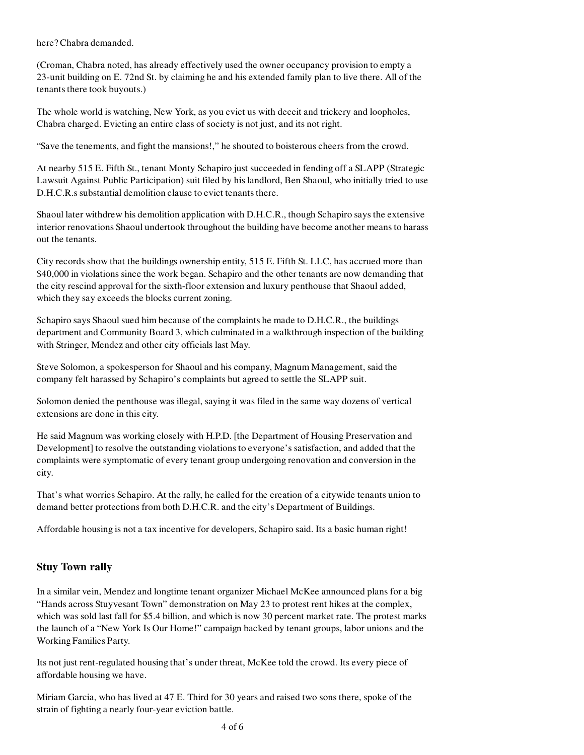here? Chabra demanded.

(Croman, Chabra noted, has already effectively used the owner occupancy provision to empty a 23-unit building on E. 72nd St. by claiming he and his extended family plan to live there. All of the tenants there took buyouts.)

The whole world is watching, New York, as you evict us with deceit and trickery and loopholes, Chabra charged. Evicting an entire class of society is not just, and its not right.

"Save the tenements, and fight the mansions!," he shouted to boisterous cheers from the crowd.

At nearby 515 E. Fifth St., tenant Monty Schapiro just succeeded in fending off a SLAPP (Strategic Lawsuit Against Public Participation) suit filed by his landlord, Ben Shaoul, who initially tried to use D.H.C.R.s substantial demolition clause to evict tenants there.

Shaoul later withdrew his demolition application with D.H.C.R., though Schapiro says the extensive interior renovations Shaoul undertook throughout the building have become another means to harass out the tenants.

City records show that the buildings ownership entity, 515 E. Fifth St. LLC, has accrued more than \$40,000 in violations since the work began. Schapiro and the other tenants are now demanding that the city rescind approval for the sixth-floor extension and luxury penthouse that Shaoul added, which they say exceeds the blocks current zoning.

Schapiro says Shaoul sued him because of the complaints he made to D.H.C.R., the buildings department and Community Board 3, which culminated in a walkthrough inspection of the building with Stringer, Mendez and other city officials last May.

Steve Solomon, a spokesperson for Shaoul and his company, Magnum Management, said the company felt harassed by Schapiro's complaints but agreed to settle the SLAPP suit.

Solomon denied the penthouse was illegal, saying it was filed in the same way dozens of vertical extensions are done in this city.

He said Magnum was working closely with H.P.D. [the Department of Housing Preservation and Development] to resolve the outstanding violations to everyone's satisfaction, and added that the complaints were symptomatic of every tenant group undergoing renovation and conversion in the city.

That's what worries Schapiro. At the rally, he called for the creation of a citywide tenants union to demand better protections from both D.H.C.R. and the city's Department of Buildings.

Affordable housing is not a tax incentive for developers, Schapiro said. Its a basic human right!

## **Stuy Town rally**

In a similar vein, Mendez and longtime tenant organizer Michael McKee announced plans for a big "Hands across Stuyvesant Town" demonstration on May 23 to protest rent hikes at the complex, which was sold last fall for \$5.4 billion, and which is now 30 percent market rate. The protest marks the launch of a "New York Is Our Home!" campaign backed by tenant groups, labor unions and the Working Families Party.

Its not just rent-regulated housing that's under threat, McKee told the crowd. Its every piece of affordable housing we have.

Miriam Garcia, who has lived at 47 E. Third for 30 years and raised two sons there, spoke of the strain of fighting a nearly four-year eviction battle.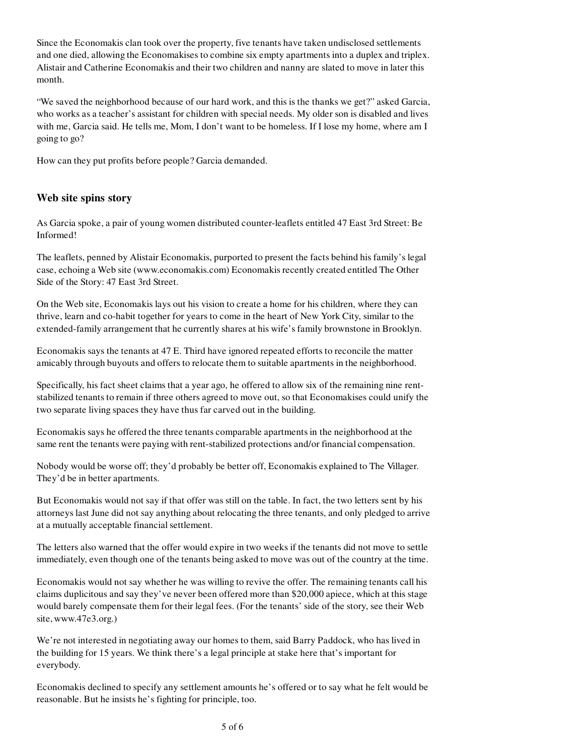Since the Economakis clan took over the property, five tenants have taken undisclosed settlements and one died, allowing the Economakises to combine six empty apartments into a duplex and triplex. Alistair and Catherine Economakis and their two children and nanny are slated to move in later this month.

"We saved the neighborhood because of our hard work, and this is the thanks we get?" asked Garcia, who works as a teacher's assistant for children with special needs. My older son is disabled and lives with me, Garcia said. He tells me, Mom, I don't want to be homeless. If I lose my home, where am I going to go?

How can they put profits before people? Garcia demanded.

### **Web site spins story**

As Garcia spoke, a pair of young women distributed counter-leaflets entitled 47 East 3rd Street: Be Informed!

The leaflets, penned by Alistair Economakis, purported to present the facts behind his family's legal case, echoing a Web site (www.economakis.com) Economakis recently created entitled The Other Side of the Story: 47 East 3rd Street.

On the Web site, Economakis lays out his vision to create a home for his children, where they can thrive, learn and co-habit together for years to come in the heart of New York City, similar to the extended-family arrangement that he currently shares at his wife's family brownstone in Brooklyn.

Economakis says the tenants at 47 E. Third have ignored repeated efforts to reconcile the matter amicably through buyouts and offers to relocate them to suitable apartments in the neighborhood.

Specifically, his fact sheet claims that a year ago, he offered to allow six of the remaining nine rentstabilized tenants to remain if three others agreed to move out, so that Economakises could unify the two separate living spaces they have thus far carved out in the building.

Economakis says he offered the three tenants comparable apartments in the neighborhood at the same rent the tenants were paying with rent-stabilized protections and/or financial compensation.

Nobody would be worse off; they'd probably be better off, Economakis explained to The Villager. They'd be in better apartments.

But Economakis would not say if that offer was still on the table. In fact, the two letters sent by his attorneys last June did not say anything about relocating the three tenants, and only pledged to arrive at a mutually acceptable financial settlement.

The letters also warned that the offer would expire in two weeks if the tenants did not move to settle immediately, even though one of the tenants being asked to move was out of the country at the time.

Economakis would not say whether he was willing to revive the offer. The remaining tenants call his claims duplicitous and say they've never been offered more than \$20,000 apiece, which at this stage would barely compensate them for their legal fees. (For the tenants' side of the story, see their Web site, www.47e3.org.)

We're not interested in negotiating away our homes to them, said Barry Paddock, who has lived in the building for 15 years. We think there's a legal principle at stake here that's important for everybody.

Economakis declined to specify any settlement amounts he's offered or to say what he felt would be reasonable. But he insists he's fighting for principle, too.